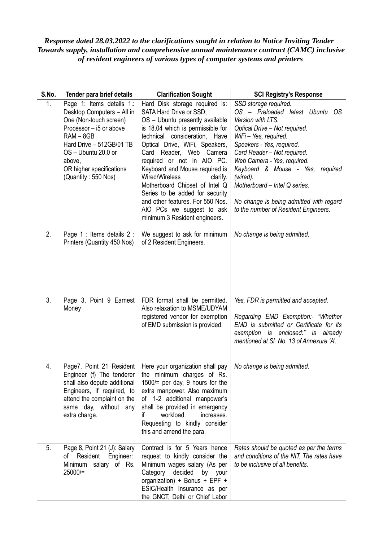## *Response dated 28.03.2022 to the clarifications sought in relation to Notice Inviting Tender Towards supply, installation and comprehensive annual maintenance contract (CAMC) inclusive of resident engineers of various types of computer systems and printers*

| S.No.          | Tender para brief details                                                                                                                                                                                                                   | <b>Clarification Sought</b>                                                                                                                                                                                                                                                                                                                                                                                                                                                                          | <b>SCI Registry's Response</b>                                                                                                                                                                                                                                                                                                                                                                       |
|----------------|---------------------------------------------------------------------------------------------------------------------------------------------------------------------------------------------------------------------------------------------|------------------------------------------------------------------------------------------------------------------------------------------------------------------------------------------------------------------------------------------------------------------------------------------------------------------------------------------------------------------------------------------------------------------------------------------------------------------------------------------------------|------------------------------------------------------------------------------------------------------------------------------------------------------------------------------------------------------------------------------------------------------------------------------------------------------------------------------------------------------------------------------------------------------|
| 1 <sub>1</sub> | Page 1: Items details 1.:<br>Desktop Computers - All in<br>One (Non-touch screen)<br>Processor - i5 or above<br>$RAM - 8GB$<br>Hard Drive - 512GB/01 TB<br>OS - Ubuntu 20.0 or<br>above.<br>OR higher specifications<br>(Quantity: 550 Nos) | Hard Disk storage required is:<br>SATA Hard Drive or SSD;<br>OS - Ubuntu presently available<br>is 18.04 which is permissible for<br>technical consideration, Have<br>Optical Drive, WiFi, Speakers,<br>Card Reader, Web Camera<br>required or not in AIO PC.<br>Keyboard and Mouse required is<br>Wired/Wireless<br>clarify.<br>Motherboard Chipset of Intel Q<br>Series to be added for security<br>and other features. For 550 Nos.<br>AIO PCs we suggest to ask<br>minimum 3 Resident engineers. | SSD storage required.<br>OS - Preloaded latest Ubuntu OS<br>Version with LTS.<br>Optical Drive - Not required.<br>WiFi-Yes, required.<br>Speakers - Yes, required.<br>Card Reader - Not required.<br>Web Camera - Yes, required.<br>Keyboard & Mouse - Yes, required<br>(wired).<br>Motherboard - Intel Q series.<br>No change is being admitted with regard<br>to the number of Resident Engineers. |
| 2.             | Page 1 : Items details 2 :<br>Printers (Quantity 450 Nos)                                                                                                                                                                                   | We suggest to ask for minimum<br>of 2 Resident Engineers.                                                                                                                                                                                                                                                                                                                                                                                                                                            | No change is being admitted.                                                                                                                                                                                                                                                                                                                                                                         |
| 3.             | Page 3, Point 9 Earnest<br>Money                                                                                                                                                                                                            | FDR format shall be permitted.<br>Also relaxation to MSME/UDYAM<br>registered vendor for exemption<br>of EMD submission is provided.                                                                                                                                                                                                                                                                                                                                                                 | Yes, FDR is permitted and accepted.<br>Regarding EMD Exemption:- "Whether<br>EMD is submitted or Certificate for its<br>exemption is enclosed:" is already<br>mentioned at SI. No. 13 of Annexure 'A'.                                                                                                                                                                                               |
| 4.             | Page7, Point 21 Resident<br>shall also depute additional<br>Engineers, if required, to<br>attend the complaint on the<br>same day, without any<br>extra charge.                                                                             | Here your organization shall pay<br>Engineer (f) The tenderer   the minimum charges of Rs.<br>$1500$ /= per day, 9 hours for the<br>extra manpower. Also maximum<br>of 1-2 additional manpower's<br>shall be provided in emergency<br>workload<br>increases.<br>if<br>Requesting to kindly consider<br>this and amend the para.                                                                                                                                                                      | No change is being admitted.                                                                                                                                                                                                                                                                                                                                                                         |
| 5.             | Page 8, Point 21 (J): Salary<br>of Resident Engineer:<br>Minimum salary of Rs.<br>$25000 =$                                                                                                                                                 | Contract is for 5 Years hence<br>request to kindly consider the<br>Minimum wages salary (As per<br>decided<br>Category<br>by your<br>organization) + Bonus + EPF +<br>ESIC/Health Insurance as per<br>the GNCT, Delhi or Chief Labor                                                                                                                                                                                                                                                                 | Rates should be quoted as per the terms<br>and conditions of the NIT. The rates have<br>to be inclusive of all benefits.                                                                                                                                                                                                                                                                             |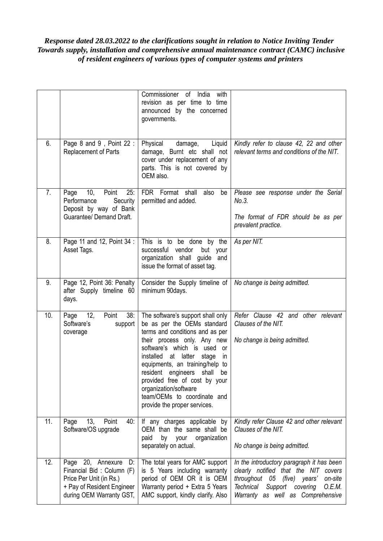## *Response dated 28.03.2022 to the clarifications sought in relation to Notice Inviting Tender Towards supply, installation and comprehensive annual maintenance contract (CAMC) inclusive of resident engineers of various types of computer systems and printers*

|     |                                                                                                                                           | Commissioner of India<br>with<br>revision as per time to time<br>announced by the concerned<br>governments.                                                                                                                                                                                                                                                                                                 |                                                                                                                                                                                                                |
|-----|-------------------------------------------------------------------------------------------------------------------------------------------|-------------------------------------------------------------------------------------------------------------------------------------------------------------------------------------------------------------------------------------------------------------------------------------------------------------------------------------------------------------------------------------------------------------|----------------------------------------------------------------------------------------------------------------------------------------------------------------------------------------------------------------|
| 6.  | Page 8 and 9, Point 22:<br>Replacement of Parts                                                                                           | Physical<br>Liquid<br>damage,<br>damage, Burnt etc shall not<br>cover under replacement of any<br>parts. This is not covered by<br>OEM also.                                                                                                                                                                                                                                                                | Kindly refer to clause 42, 22 and other<br>relevant terms and conditions of the NIT.                                                                                                                           |
| 7.  | 10,<br>Point<br>25:<br>Page<br>Security<br>Performance<br>Deposit by way of Bank<br>Guarantee/ Demand Draft.                              | FDR Format shall<br>also<br>be<br>permitted and added.                                                                                                                                                                                                                                                                                                                                                      | Please see response under the Serial<br>No.3.<br>The format of FDR should be as per<br>prevalent practice.                                                                                                     |
| 8.  | Page 11 and 12, Point 34 :<br>Asset Tags.                                                                                                 | This is to be done by the<br>successful<br>vendor<br>but<br>your<br>organization shall guide and<br>issue the format of asset tag.                                                                                                                                                                                                                                                                          | As per NIT.                                                                                                                                                                                                    |
| 9.  | Page 12, Point 36: Penalty<br>after Supply timeline 60<br>days.                                                                           | Consider the Supply timeline of<br>minimum 90days.                                                                                                                                                                                                                                                                                                                                                          | No change is being admitted.                                                                                                                                                                                   |
| 10. | 12,<br>38:<br>Point<br>Page<br>Software's<br>support<br>coverage                                                                          | The software's support shall only<br>be as per the OEMs standard<br>terms and conditions and as per<br>their process only. Any new<br>software's which is used or<br>installed<br>at latter<br>stage<br>in<br>equipments, an training/help to<br>resident engineers<br>shall<br>be<br>provided free of cost by your<br>organization/software<br>team/OEMs to coordinate and<br>provide the proper services. | Refer Clause 42 and other relevant<br>Clauses of the NIT.<br>No change is being admitted.                                                                                                                      |
| 11. | 13,<br>Point<br>Page<br>40:<br>Software/OS upgrade                                                                                        | If any charges applicable by<br>OEM than the same shall be<br>paid<br>by<br>your<br>organization<br>separately on actual.                                                                                                                                                                                                                                                                                   | Kindly refer Clause 42 and other relevant<br>Clauses of the NIT.<br>No change is being admitted.                                                                                                               |
| 12. | Page 20, Annexure<br>D:<br>Financial Bid: Column (F)<br>Price Per Unit (in Rs.)<br>+ Pay of Resident Engineer<br>during OEM Warranty GST, | The total years for AMC support<br>is 5 Years including warranty<br>period of OEM OR it is OEM<br>Warranty period + Extra 5 Years<br>AMC support, kindly clarify. Also                                                                                                                                                                                                                                      | In the introductory paragraph it has been<br>clearly notified that the NIT covers<br>throughout 05 (five) years'<br>on-site<br>Support<br>covering<br>O.E.M.<br>Technical<br>Warranty as well as Comprehensive |